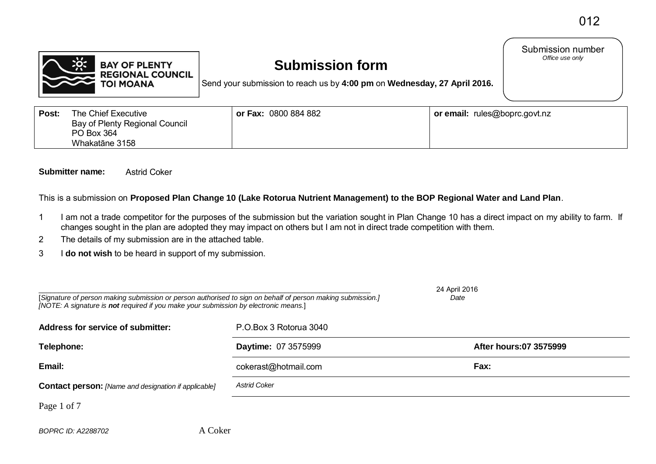Submission number<br>Office use only



# **Submission form**

Send your submission to reach us by **4:00 pm** on **Wednesday, 27 April 2016.**

**Post:** The Chief Executive Bay of Plenty Regional Council PO Box 364 Whakatāne 3158 **or Fax:** 0800 884 882 **or email:** rules@boprc.govt.nz

#### **Submitter name:** Astrid Coker

This is a submission on **Proposed Plan Change 10 (Lake Rotorua Nutrient Management) to the BOP Regional Water and Land Plan**.

- 1 I am not a trade competitor for the purposes of the submission but the variation sought in Plan Change 10 has a direct impact on my ability to farm. If changes sought in the plan are adopted they may impact on others but I am not in direct trade competition with them.
- 2 The details of my submission are in the attached table.
- 3 I **do not wish** to be heard in support of my submission.

| [Signature of person making submission or person authorised to sign on behalf of person making submission.]<br>[NOTE: A signature is not required if you make your submission by electronic means.] | 24 April 2016<br>Date  |                        |
|-----------------------------------------------------------------------------------------------------------------------------------------------------------------------------------------------------|------------------------|------------------------|
| <b>Address for service of submitter:</b>                                                                                                                                                            | P.O.Box 3 Rotorua 3040 |                        |
| Telephone:                                                                                                                                                                                          | Daytime: 07 3575999    | After hours:07 3575999 |
| Email:                                                                                                                                                                                              | cokerast@hotmail.com   | Fax:                   |
| <b>Contact person:</b> [Name and designation if applicable]                                                                                                                                         | <b>Astrid Coker</b>    |                        |
| Page 1 of 7                                                                                                                                                                                         |                        |                        |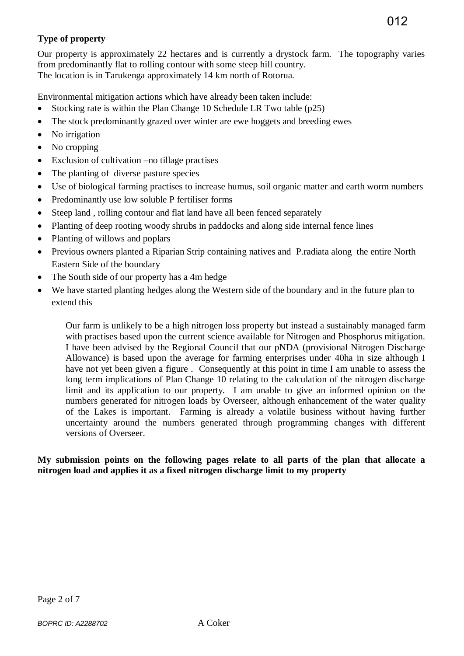## **Type of property**

Our property is approximately 22 hectares and is currently a drystock farm. The topography varies from predominantly flat to rolling contour with some steep hill country. The location is in Tarukenga approximately 14 km north of Rotorua.

Environmental mitigation actions which have already been taken include:

- Stocking rate is within the Plan Change 10 Schedule LR Two table (p25)
- The stock predominantly grazed over winter are ewe hoggets and breeding ewes
- No irrigation
- No cropping
- Exclusion of cultivation –no tillage practises
- The planting of diverse pasture species
- Use of biological farming practises to increase humus, soil organic matter and earth worm numbers
- Predominantly use low soluble P fertiliser forms
- Steep land, rolling contour and flat land have all been fenced separately
- Planting of deep rooting woody shrubs in paddocks and along side internal fence lines
- Planting of willows and poplars
- Previous owners planted a Riparian Strip containing natives and P.radiata along the entire North Eastern Side of the boundary
- The South side of our property has a 4m hedge
- We have started planting hedges along the Western side of the boundary and in the future plan to extend this

Our farm is unlikely to be a high nitrogen loss property but instead a sustainably managed farm with practises based upon the current science available for Nitrogen and Phosphorus mitigation. I have been advised by the Regional Council that our pNDA (provisional Nitrogen Discharge Allowance) is based upon the average for farming enterprises under 40ha in size although I have not yet been given a figure . Consequently at this point in time I am unable to assess the long term implications of Plan Change 10 relating to the calculation of the nitrogen discharge limit and its application to our property. I am unable to give an informed opinion on the numbers generated for nitrogen loads by Overseer, although enhancement of the water quality of the Lakes is important. Farming is already a volatile business without having further uncertainty around the numbers generated through programming changes with different versions of Overseer.

#### **My submission points on the following pages relate to all parts of the plan that allocate a nitrogen load and applies it as a fixed nitrogen discharge limit to my property**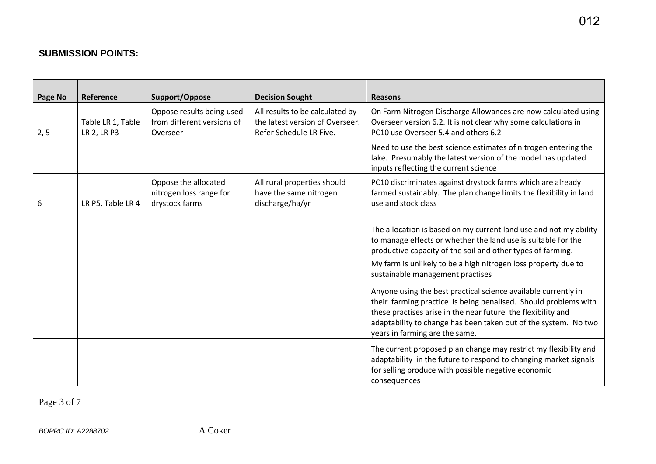## **SUBMISSION POINTS:**

| Page No | Reference                        | Support/Oppose                                                      | <b>Decision Sought</b>                                                                        | <b>Reasons</b>                                                                                                                                                                                                                                                                                         |
|---------|----------------------------------|---------------------------------------------------------------------|-----------------------------------------------------------------------------------------------|--------------------------------------------------------------------------------------------------------------------------------------------------------------------------------------------------------------------------------------------------------------------------------------------------------|
| 2, 5    | Table LR 1, Table<br>LR 2, LR P3 | Oppose results being used<br>from different versions of<br>Overseer | All results to be calculated by<br>the latest version of Overseer.<br>Refer Schedule LR Five. | On Farm Nitrogen Discharge Allowances are now calculated using<br>Overseer version 6.2. It is not clear why some calculations in<br>PC10 use Overseer 5.4 and others 6.2                                                                                                                               |
|         |                                  |                                                                     |                                                                                               | Need to use the best science estimates of nitrogen entering the<br>lake. Presumably the latest version of the model has updated<br>inputs reflecting the current science                                                                                                                               |
| 6       | LR P5, Table LR 4                | Oppose the allocated<br>nitrogen loss range for<br>drystock farms   | All rural properties should<br>have the same nitrogen<br>discharge/ha/yr                      | PC10 discriminates against drystock farms which are already<br>farmed sustainably. The plan change limits the flexibility in land<br>use and stock class                                                                                                                                               |
|         |                                  |                                                                     |                                                                                               | The allocation is based on my current land use and not my ability<br>to manage effects or whether the land use is suitable for the<br>productive capacity of the soil and other types of farming.                                                                                                      |
|         |                                  |                                                                     |                                                                                               | My farm is unlikely to be a high nitrogen loss property due to<br>sustainable management practises                                                                                                                                                                                                     |
|         |                                  |                                                                     |                                                                                               | Anyone using the best practical science available currently in<br>their farming practice is being penalised. Should problems with<br>these practises arise in the near future the flexibility and<br>adaptability to change has been taken out of the system. No two<br>years in farming are the same. |
|         |                                  |                                                                     |                                                                                               | The current proposed plan change may restrict my flexibility and<br>adaptability in the future to respond to changing market signals<br>for selling produce with possible negative economic<br>consequences                                                                                            |

Page 3 of 7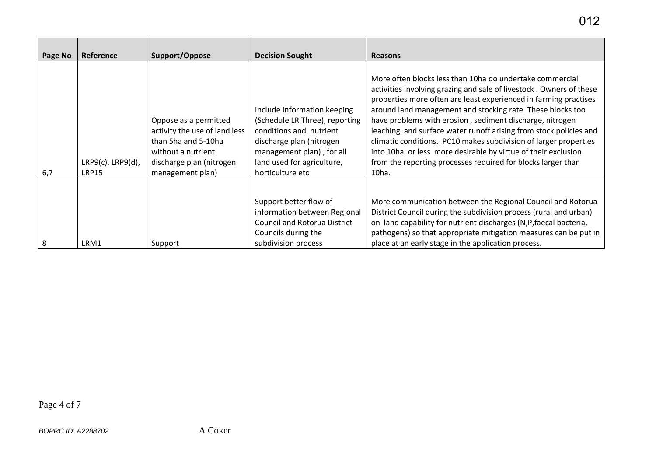| Page No | Reference                               | Support/Oppose                                                                                                                                      | <b>Decision Sought</b>                                                                                                                                                                              | <b>Reasons</b>                                                                                                                                                                                                                                                                                                                                                                                                                                                                                                                                                  |
|---------|-----------------------------------------|-----------------------------------------------------------------------------------------------------------------------------------------------------|-----------------------------------------------------------------------------------------------------------------------------------------------------------------------------------------------------|-----------------------------------------------------------------------------------------------------------------------------------------------------------------------------------------------------------------------------------------------------------------------------------------------------------------------------------------------------------------------------------------------------------------------------------------------------------------------------------------------------------------------------------------------------------------|
|         |                                         |                                                                                                                                                     |                                                                                                                                                                                                     | More often blocks less than 10ha do undertake commercial                                                                                                                                                                                                                                                                                                                                                                                                                                                                                                        |
| 6,7     | $LRP9(c)$ , $LRP9(d)$ ,<br><b>LRP15</b> | Oppose as a permitted<br>activity the use of land less<br>than 5ha and 5-10ha<br>without a nutrient<br>discharge plan (nitrogen<br>management plan) | Include information keeping<br>(Schedule LR Three), reporting<br>conditions and nutrient<br>discharge plan (nitrogen<br>management plan), for all<br>land used for agriculture,<br>horticulture etc | activities involving grazing and sale of livestock. Owners of these<br>properties more often are least experienced in farming practises<br>around land management and stocking rate. These blocks too<br>have problems with erosion, sediment discharge, nitrogen<br>leaching and surface water runoff arising from stock policies and<br>climatic conditions. PC10 makes subdivision of larger properties<br>into 10ha or less more desirable by virtue of their exclusion<br>from the reporting processes required for blocks larger than<br>10 <sub>ha</sub> |
| 8       | LRM1                                    | Support                                                                                                                                             | Support better flow of<br>information between Regional<br><b>Council and Rotorua District</b><br>Councils during the<br>subdivision process                                                         | More communication between the Regional Council and Rotorua<br>District Council during the subdivision process (rural and urban)<br>on land capability for nutrient discharges (N,P, faecal bacteria,<br>pathogens) so that appropriate mitigation measures can be put in<br>place at an early stage in the application process.                                                                                                                                                                                                                                |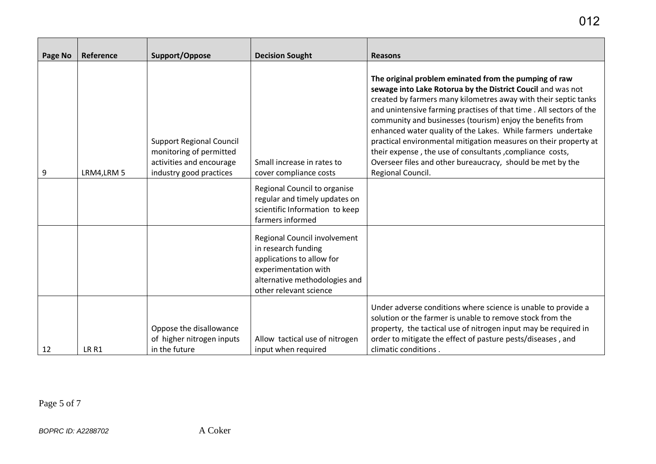| Page No | Reference   | Support/Oppose                                                                                                    | <b>Decision Sought</b>                                                                                                                                              | <b>Reasons</b>                                                                                                                                                                                                                                                                                                                                                                                                                                                                                                                                                                                                  |
|---------|-------------|-------------------------------------------------------------------------------------------------------------------|---------------------------------------------------------------------------------------------------------------------------------------------------------------------|-----------------------------------------------------------------------------------------------------------------------------------------------------------------------------------------------------------------------------------------------------------------------------------------------------------------------------------------------------------------------------------------------------------------------------------------------------------------------------------------------------------------------------------------------------------------------------------------------------------------|
| 9       | LRM4, LRM 5 | <b>Support Regional Council</b><br>monitoring of permitted<br>activities and encourage<br>industry good practices | Small increase in rates to<br>cover compliance costs                                                                                                                | The original problem eminated from the pumping of raw<br>sewage into Lake Rotorua by the District Coucil and was not<br>created by farmers many kilometres away with their septic tanks<br>and unintensive farming practises of that time . All sectors of the<br>community and businesses (tourism) enjoy the benefits from<br>enhanced water quality of the Lakes. While farmers undertake<br>practical environmental mitigation measures on their property at<br>their expense, the use of consultants, compliance costs,<br>Overseer files and other bureaucracy, should be met by the<br>Regional Council. |
|         |             |                                                                                                                   | Regional Council to organise<br>regular and timely updates on<br>scientific Information to keep<br>farmers informed                                                 |                                                                                                                                                                                                                                                                                                                                                                                                                                                                                                                                                                                                                 |
|         |             |                                                                                                                   | Regional Council involvement<br>in research funding<br>applications to allow for<br>experimentation with<br>alternative methodologies and<br>other relevant science |                                                                                                                                                                                                                                                                                                                                                                                                                                                                                                                                                                                                                 |
| 12      | LR R1       | Oppose the disallowance<br>of higher nitrogen inputs<br>in the future                                             | Allow tactical use of nitrogen<br>input when required                                                                                                               | Under adverse conditions where science is unable to provide a<br>solution or the farmer is unable to remove stock from the<br>property, the tactical use of nitrogen input may be required in<br>order to mitigate the effect of pasture pests/diseases, and<br>climatic conditions.                                                                                                                                                                                                                                                                                                                            |

Page 5 of 7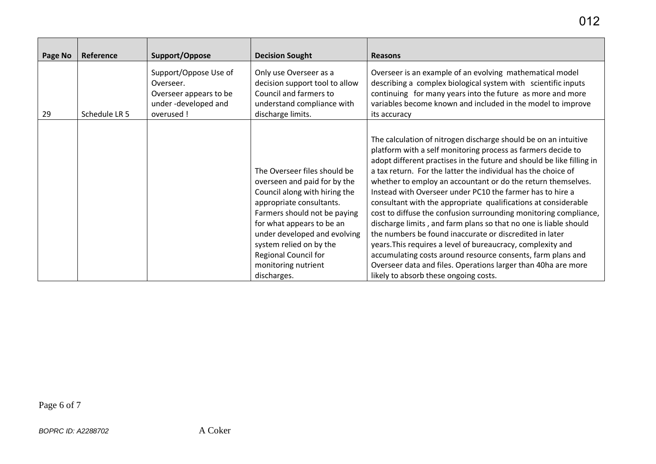| Page No | Reference     | Support/Oppose                                                                                    | <b>Decision Sought</b>                                                                                                                                                                                                                                                                                          | <b>Reasons</b>                                                                                                                                                                                                                                                                                                                                                                                                                                                                                                                                                                                                                                                                                                                                                                                                                                                                                                      |
|---------|---------------|---------------------------------------------------------------------------------------------------|-----------------------------------------------------------------------------------------------------------------------------------------------------------------------------------------------------------------------------------------------------------------------------------------------------------------|---------------------------------------------------------------------------------------------------------------------------------------------------------------------------------------------------------------------------------------------------------------------------------------------------------------------------------------------------------------------------------------------------------------------------------------------------------------------------------------------------------------------------------------------------------------------------------------------------------------------------------------------------------------------------------------------------------------------------------------------------------------------------------------------------------------------------------------------------------------------------------------------------------------------|
| 29      | Schedule LR 5 | Support/Oppose Use of<br>Overseer.<br>Overseer appears to be<br>under-developed and<br>overused ! | Only use Overseer as a<br>decision support tool to allow<br>Council and farmers to<br>understand compliance with<br>discharge limits.                                                                                                                                                                           | Overseer is an example of an evolving mathematical model<br>describing a complex biological system with scientific inputs<br>continuing for many years into the future as more and more<br>variables become known and included in the model to improve<br>its accuracy                                                                                                                                                                                                                                                                                                                                                                                                                                                                                                                                                                                                                                              |
|         |               |                                                                                                   | The Overseer files should be<br>overseen and paid for by the<br>Council along with hiring the<br>appropriate consultants.<br>Farmers should not be paying<br>for what appears to be an<br>under developed and evolving<br>system relied on by the<br>Regional Council for<br>monitoring nutrient<br>discharges. | The calculation of nitrogen discharge should be on an intuitive<br>platform with a self monitoring process as farmers decide to<br>adopt different practises in the future and should be like filling in<br>a tax return. For the latter the individual has the choice of<br>whether to employ an accountant or do the return themselves.<br>Instead with Overseer under PC10 the farmer has to hire a<br>consultant with the appropriate qualifications at considerable<br>cost to diffuse the confusion surrounding monitoring compliance,<br>discharge limits, and farm plans so that no one is liable should<br>the numbers be found inaccurate or discredited in later<br>years. This requires a level of bureaucracy, complexity and<br>accumulating costs around resource consents, farm plans and<br>Overseer data and files. Operations larger than 40ha are more<br>likely to absorb these ongoing costs. |

Page 6 of 7